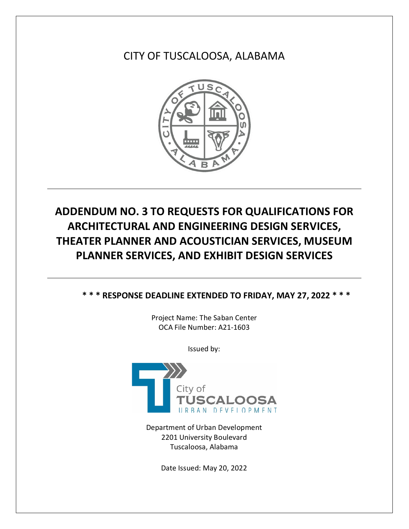CITY OF TUSCALOOSA, ALABAMA



## **ADDENDUM NO. 3 TO REQUESTS FOR QUALIFICATIONS FOR ARCHITECTURAL AND ENGINEERING DESIGN SERVICES, THEATER PLANNER AND ACOUSTICIAN SERVICES, MUSEUM PLANNER SERVICES, AND EXHIBIT DESIGN SERVICES**

**\* \* \* RESPONSE DEADLINE EXTENDED TO FRIDAY, MAY 27, 2022 \* \* \***

Project Name: The Saban Center OCA File Number: A21-1603

Issued by:



Department of Urban Development 2201 University Boulevard Tuscaloosa, Alabama

Date Issued: May 20, 2022